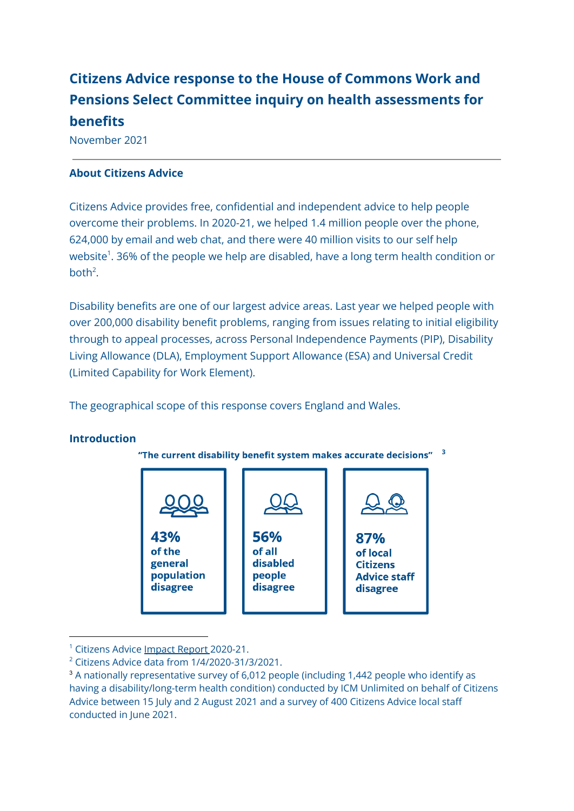# **Citizens Advice response to the House of Commons Work and Pensions Select Committee inquiry on health assessments for benefits**

November 2021

### **About Citizens Advice**

Citizens Advice provides free, confidential and independent advice to help people overcome their problems. In 2020-21, we helped 1.4 million people over the phone, 624,000 by email and web chat, and there were 40 million visits to our self help website $^1$ . 36% of the people we help are disabled, have a long term health condition or both<sup>2</sup>.

Disability benefits are one of our largest advice areas. Last year we helped people with over 200,000 disability benefit problems, ranging from issues relating to initial eligibility through to appeal processes, across Personal Independence Payments (PIP), Disability Living Allowance (DLA), Employment Support Allowance (ESA) and Universal Credit (Limited Capability for Work Element).

The geographical scope of this response covers England and Wales.

### **Introduction**





<sup>&</sup>lt;sup>1</sup> Citizens Advice [Impact](https://drive.google.com/file/d/1oXrXwt7Bok6TvfGvmXIi1OUTljSEghwR/view) Report 2020-21.

 $2$  Citizens Advice data from  $1/4/2020 - 31/3/2021$ .

<sup>&</sup>lt;sup>3</sup> A nationally representative survey of 6,012 people (including 1,442 people who identify as having a disability/long-term health condition) conducted by ICM Unlimited on behalf of Citizens Advice between 15 July and 2 August 2021 and a survey of 400 Citizens Advice local staff conducted in June 2021.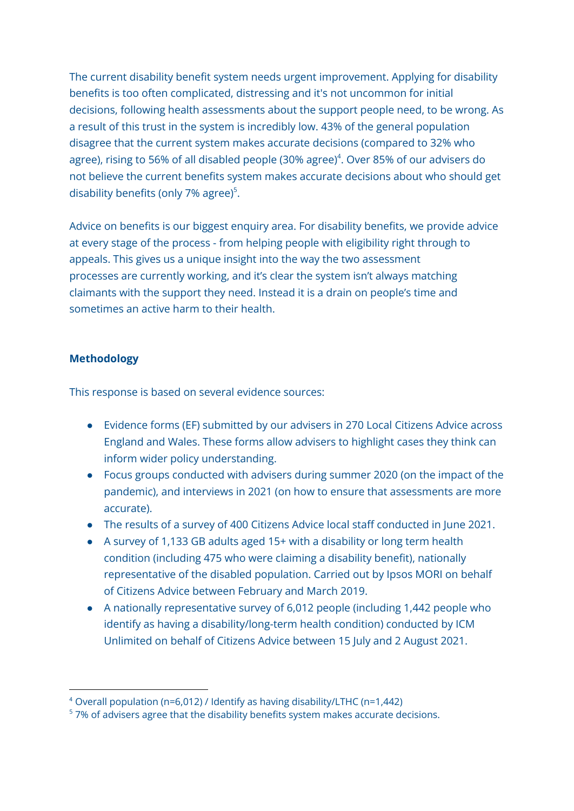The current disability benefit system needs urgent improvement. Applying for disability benefits is too often complicated, distressing and it's not uncommon for initial decisions, following health assessments about the support people need, to be wrong. As a result of this trust in the system is incredibly low. 43% of the general population disagree that the current system makes accurate decisions (compared to 32% who agree), rising to 56% of all disabled people (30% agree) 4 . Over 85% of our advisers do not believe the current benefits system makes accurate decisions about who should get disability benefits (only 7% agree) 5 .

Advice on benefits is our biggest enquiry area. For disability benefits, we provide advice at every stage of the process - from helping people with eligibility right through to appeals. This gives us a unique insight into the way the two assessment processes are currently working, and it's clear the system isn't always matching claimants with the support they need. Instead it is a drain on people's time and sometimes an active harm to their health.

### **Methodology**

This response is based on several evidence sources:

- Evidence forms (EF) submitted by our advisers in 270 Local Citizens Advice across England and Wales. These forms allow advisers to highlight cases they think can inform wider policy understanding.
- Focus groups conducted with advisers during summer 2020 (on the impact of the pandemic), and interviews in 2021 (on how to ensure that assessments are more accurate).
- The results of a survey of 400 Citizens Advice local staff conducted in June 2021.
- A survey of 1,133 GB adults aged 15+ with a disability or long term health condition (including 475 who were claiming a disability benefit), nationally representative of the disabled population. Carried out by Ipsos MORI on behalf of Citizens Advice between February and March 2019.
- A nationally representative survey of 6,012 people (including 1,442 people who identify as having a disability/long-term health condition) conducted by ICM Unlimited on behalf of Citizens Advice between 15 July and 2 August 2021.

<sup>4</sup> Overall population (n=6,012) / Identify as having disability/LTHC (n=1,442)

<sup>&</sup>lt;sup>5</sup> 7% of advisers agree that the disability benefits system makes accurate decisions.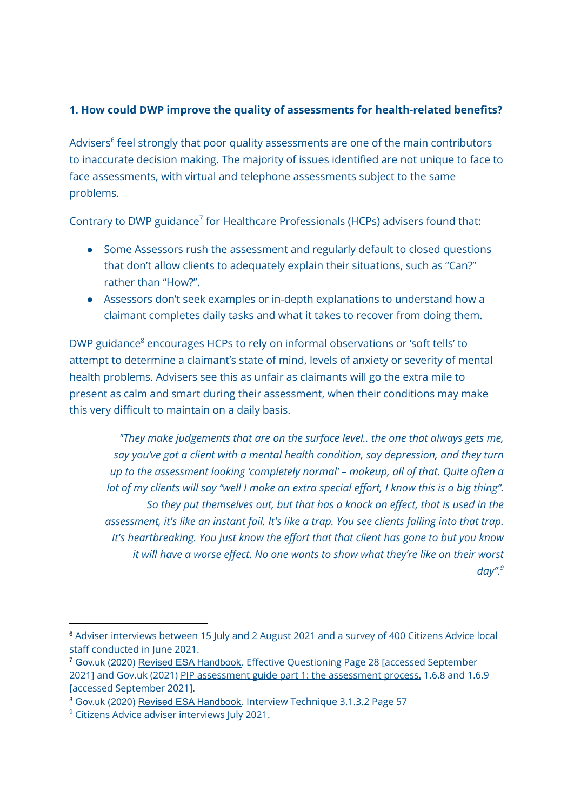## **1. How could DWP improve the quality of assessments for health-related benefits?**

Advisers 6 feel strongly that poor quality assessments are one of the main contributors to inaccurate decision making. The majority of issues identified are not unique to face to face assessments, with virtual and telephone assessments subject to the same problems.

Contrary to DWP guidance<sup>7</sup> for Healthcare Professionals (HCPs) advisers found that:

- Some Assessors rush the assessment and regularly default to closed questions that don't allow clients to adequately explain their situations, such as "Can?" rather than "How?".
- Assessors don't seek examples or in-depth explanations to understand how a claimant completes daily tasks and what it takes to recover from doing them.

DWP guidance<sup>8</sup> encourages HCPs to rely on informal observations or 'soft tells' to attempt to determine a claimant's state of mind, levels of anxiety or severity of mental health problems. Advisers see this as unfair as claimants will go the extra mile to present as calm and smart during their assessment, when their conditions may make this very difficult to maintain on a daily basis.

*"They make judgements that are on the surface level.. the one that always gets me, say you've got a client with a mental health condition, say depression, and they turn up to the assessment looking 'completely normal' – makeup, all of that. Quite often a* lot of my clients will say "well I make an extra special effort, I know this is a big thing". *So they put themselves out, but that has a knock on effect, that is used in the assessment, it's like an instant fail. It's like a trap. You see clients falling into that trap. It's heartbreaking. You just know the effort that that client has gone to but you know it will have a worse effect. No one wants to show what they're like on their worst day". 9*

<sup>&</sup>lt;sup>6</sup> Adviser interviews between 15 July and 2 August 2021 and a survey of 400 Citizens Advice local staff conducted in June 2021.

<sup>7</sup> Gov.uk (2020) Revised ESA [Handbook.](https://assets.publishing.service.gov.uk/government/uploads/system/uploads/attachment_data/file/925097/wca-handbook.pdf) Effective Questioning Page 28 [accessed September 2021] and Gov.uk (2021) PIP [assessment](https://www.gov.uk/government/publications/personal-independence-payment-assessment-guide-for-assessment-providers/pip-assessment-guide-part-1-the-assessment-process) guide part 1: the assessment process. 1.6.8 and 1.6.9 [accessed September 2021].

<sup>8</sup> Gov.uk (2020) Revised ESA [Handbook.](https://assets.publishing.service.gov.uk/government/uploads/system/uploads/attachment_data/file/925097/wca-handbook.pdf) Interview Technique 3.1.3.2 Page 57

<sup>&</sup>lt;sup>9</sup> Citizens Advice adviser interviews July 2021.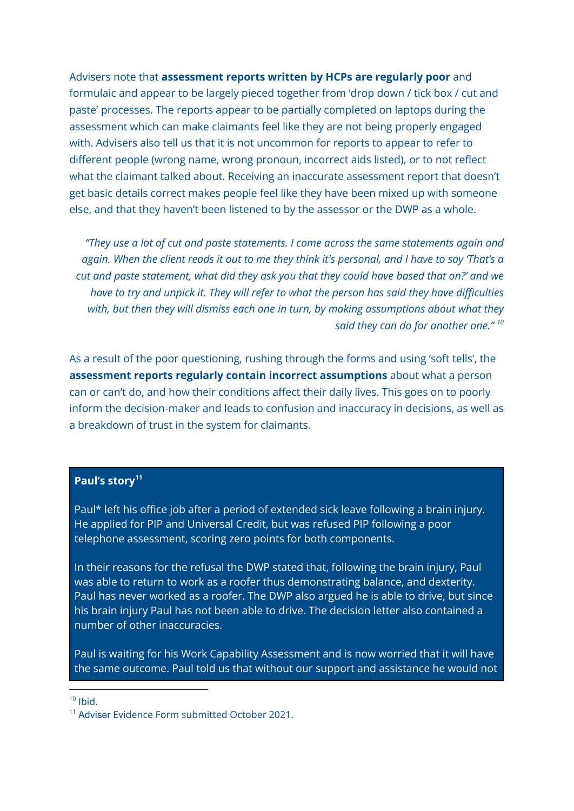Advisers note that **assessment reports written by HCPs are regularly poor** and formulaic and appear to be largely pieced together from 'drop down / tick box / cut and paste' processes. The reports appear to be partially completed on laptops during the assessment which can make claimants feel like they are not being properly engaged with. Advisers also tell us that it is not uncommon for reports to appear to refer to different people (wrong name, wrong pronoun, incorrect aids listed), or to not reflect what the claimant talked about. Receiving an inaccurate assessment report that doesn't get basic details correct makes people feel like they have been mixed up with someone else, and that they haven't been listened to by the assessor or the DWP as a whole.

*"They use a lot of cut and paste statements. I come across the same statements again and* again. When the client reads it out to me they think it's personal, and I have to say 'That's a *cut and paste statement, what did they ask you that they could have based that on?' and we have to try and unpick it. They will refer to what the person has said they have difficulties with, but then they will dismiss each one in turn, by making assumptions about what they said they can do for another one." 10*

As a result of the poor questioning, rushing through the forms and using 'soft tells', the **assessment reports regularly contain incorrect assumptions** about what a person can or can't do, and how their conditions affect their daily lives. This goes on to poorly inform the decision-maker and leads to confusion and inaccuracy in decisions, as well as a breakdown of trust in the system for claimants.

#### **Paul's story 11**

Paul\* left his office job after a period of extended sick leave following a brain injury. He applied for PIP and Universal Credit, but was refused PIP following a poor telephone assessment, scoring zero points for both components.

In their reasons for the refusal the DWP stated that, following the brain injury, Paul was able to return to work as a roofer thus demonstrating balance, and dexterity. Paul has never worked as a roofer. The DWP also argued he is able to drive, but since his brain injury Paul has not been able to drive. The decision letter also contained a number of other inaccuracies.

Paul is waiting for his Work Capability Assessment and is now worried that it will have the same outcome. Paul told us that without our support and assistance he would not

 $10$  Ihid.

<sup>&</sup>lt;sup>11</sup> Adviser Evidence Form submitted October 2021.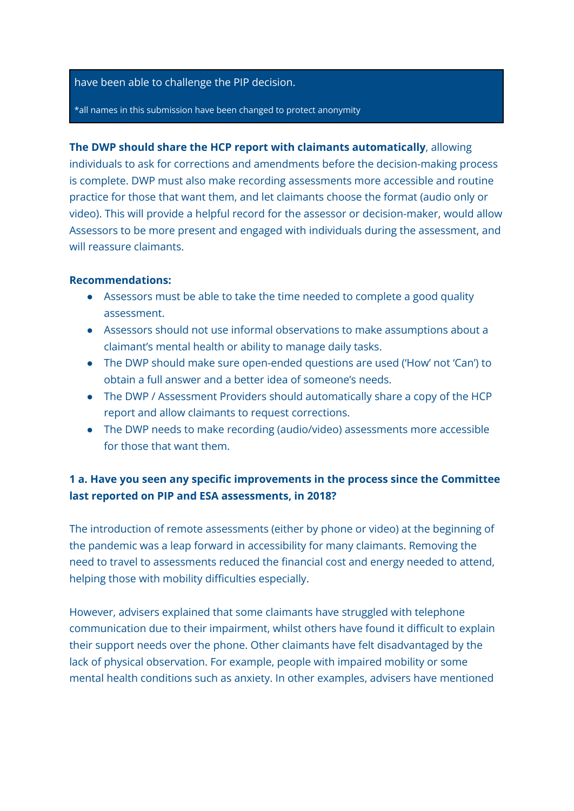#### have been able to challenge the PIP decision.

\*all names in this submission have been changed to protect anonymity

**The DWP should share the HCP report with claimants automatically**, allowing individuals to ask for corrections and amendments before the decision-making process is complete. DWP must also make recording assessments more accessible and routine practice for those that want them, and let claimants choose the format (audio only or video). This will provide a helpful record for the assessor or decision-maker, would allow Assessors to be more present and engaged with individuals during the assessment, and will reassure claimants.

#### **Recommendations:**

- Assessors must be able to take the time needed to complete a good quality assessment.
- Assessors should not use informal observations to make assumptions about a claimant's mental health or ability to manage daily tasks.
- The DWP should make sure open-ended questions are used ('How' not 'Can') to obtain a full answer and a better idea of someone's needs.
- The DWP / Assessment Providers should automatically share a copy of the HCP report and allow claimants to request corrections.
- The DWP needs to make recording (audio/video) assessments more accessible for those that want them.

# **1 a. Have you seen any specific improvements in the process since the Committee last reported on PIP and ESA assessments, in 2018?**

The introduction of remote assessments (either by phone or video) at the beginning of the pandemic was a leap forward in accessibility for many claimants. Removing the need to travel to assessments reduced the financial cost and energy needed to attend, helping those with mobility difficulties especially.

However, advisers explained that some claimants have struggled with telephone communication due to their impairment, whilst others have found it difficult to explain their support needs over the phone. Other claimants have felt disadvantaged by the lack of physical observation. For example, people with impaired mobility or some mental health conditions such as anxiety. In other examples, advisers have mentioned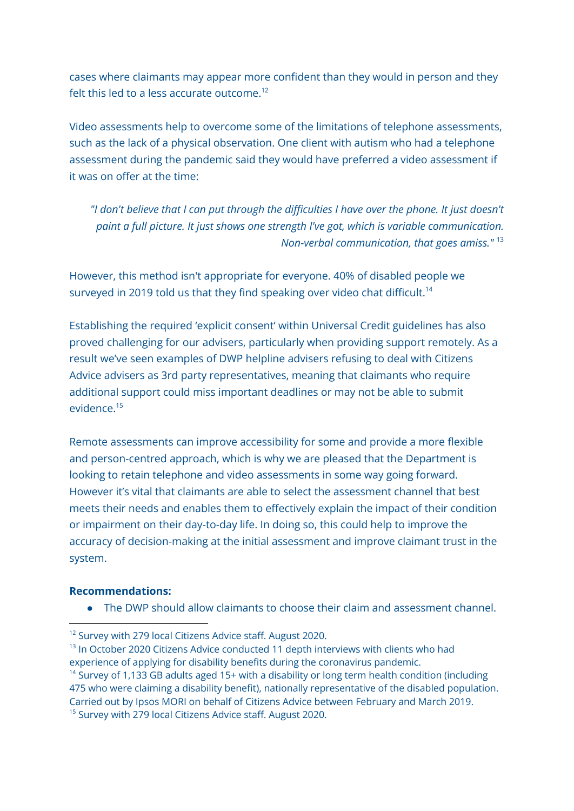cases where claimants may appear more confident than they would in person and they felt this led to a less accurate outcome. 12

Video assessments help to overcome some of the limitations of telephone assessments, such as the lack of a physical observation. One client with autism who had a telephone assessment during the pandemic said they would have preferred a video assessment if it was on offer at the time:

*"I don't believe that I can put through the difficulties I have over the phone. It just doesn't paint a full picture. It just shows one strength I've got, which is variable communication. Non-verbal communication, that goes amiss."* 13

However, this method isn't appropriate for everyone. 40% of disabled people we surveyed in 2019 told us that they find speaking over video chat difficult.<sup>14</sup>

Establishing the required 'explicit consent' within Universal Credit guidelines has also proved challenging for our advisers, particularly when providing support remotely. As a result we've seen examples of DWP helpline advisers refusing to deal with Citizens Advice advisers as 3rd party representatives, meaning that claimants who require additional support could miss important deadlines or may not be able to submit evidence. 15

Remote assessments can improve accessibility for some and provide a more flexible and person-centred approach, which is why we are pleased that the Department is looking to retain telephone and video assessments in some way going forward. However it's vital that claimants are able to select the assessment channel that best meets their needs and enables them to effectively explain the impact of their condition or impairment on their day-to-day life. In doing so, this could help to improve the accuracy of decision-making at the initial assessment and improve claimant trust in the system.

#### **Recommendations:**

● The DWP should allow claimants to choose their claim and assessment channel.

<sup>&</sup>lt;sup>12</sup> Survey with 279 local Citizens Advice staff. August 2020.

<sup>&</sup>lt;sup>13</sup> In October 2020 Citizens Advice conducted 11 depth interviews with clients who had experience of applying for disability benefits during the coronavirus pandemic.

<sup>&</sup>lt;sup>15</sup> Survey with 279 local Citizens Advice staff. August 2020.  $14$  Survey of 1,133 GB adults aged 15+ with a disability or long term health condition (including 475 who were claiming a disability benefit), nationally representative of the disabled population. Carried out by Ipsos MORI on behalf of Citizens Advice between February and March 2019.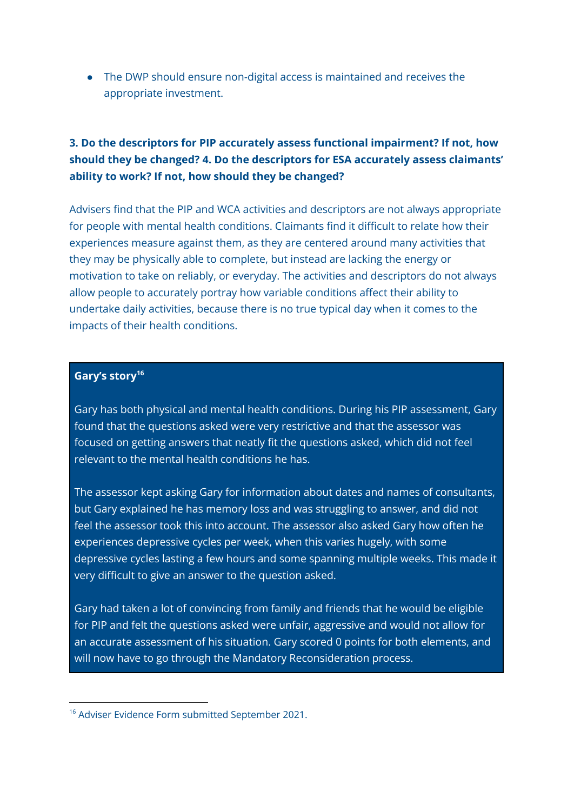● The DWP should ensure non-digital access is maintained and receives the appropriate investment.

# **3. Do the descriptors for PIP accurately assess functional impairment? If not, how should they be changed? 4. Do the descriptors for ESA accurately assess claimants' ability to work? If not, how should they be changed?**

Advisers find that the PIP and WCA activities and descriptors are not always appropriate for people with mental health conditions. Claimants find it difficult to relate how their experiences measure against them, as they are centered around many activities that they may be physically able to complete, but instead are lacking the energy or motivation to take on reliably, or everyday. The activities and descriptors do not always allow people to accurately portray how variable conditions affect their ability to undertake daily activities, because there is no true typical day when it comes to the impacts of their health conditions.

### **Gary's story 16**

Gary has both physical and mental health conditions. During his PIP assessment, Gary found that the questions asked were very restrictive and that the assessor was focused on getting answers that neatly fit the questions asked, which did not feel relevant to the mental health conditions he has.

The assessor kept asking Gary for information about dates and names of consultants, but Gary explained he has memory loss and was struggling to answer, and did not feel the assessor took this into account. The assessor also asked Gary how often he experiences depressive cycles per week, when this varies hugely, with some depressive cycles lasting a few hours and some spanning multiple weeks. This made it very difficult to give an answer to the question asked.

Gary had taken a lot of convincing from family and friends that he would be eligible for PIP and felt the questions asked were unfair, aggressive and would not allow for an accurate assessment of his situation. Gary scored 0 points for both elements, and will now have to go through the Mandatory Reconsideration process.

<sup>&</sup>lt;sup>16</sup> Adviser Evidence Form submitted September 2021.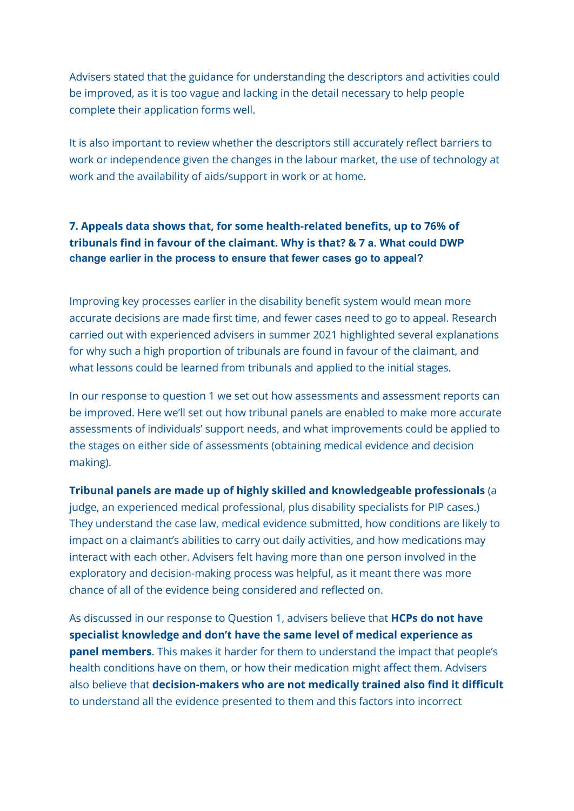Advisers stated that the guidance for understanding the descriptors and activities could be improved, as it is too vague and lacking in the detail necessary to help people complete their application forms well.

It is also important to review whether the descriptors still accurately reflect barriers to work or independence given the changes in the labour market, the use of technology at work and the availability of aids/support in work or at home.

# **7. Appeals data shows that, for some health-related benefits, up to 76% of tribunals find in favour of the claimant. Why is that? & 7 a. What could DWP change earlier in the process to ensure that fewer cases go to appeal?**

Improving key processes earlier in the disability benefit system would mean more accurate decisions are made first time, and fewer cases need to go to appeal. Research carried out with experienced advisers in summer 2021 highlighted several explanations for why such a high proportion of tribunals are found in favour of the claimant, and what lessons could be learned from tribunals and applied to the initial stages.

In our response to question 1 we set out how assessments and assessment reports can be improved. Here we'll set out how tribunal panels are enabled to make more accurate assessments of individuals' support needs, and what improvements could be applied to the stages on either side of assessments (obtaining medical evidence and decision making).

#### **Tribunal panels are made up of highly skilled and knowledgeable professionals** (a

judge, an experienced medical professional, plus disability specialists for PIP cases.) They understand the case law, medical evidence submitted, how conditions are likely to impact on a claimant's abilities to carry out daily activities, and how medications may interact with each other. Advisers felt having more than one person involved in the exploratory and decision-making process was helpful, as it meant there was more chance of all of the evidence being considered and reflected on.

As discussed in our response to Question 1, advisers believe that **HCPs do not have specialist knowledge and don't have the same level of medical experience as panel members**. This makes it harder for them to understand the impact that people's health conditions have on them, or how their medication might affect them. Advisers also believe that **decision-makers who are not medically trained also find it difficult** to understand all the evidence presented to them and this factors into incorrect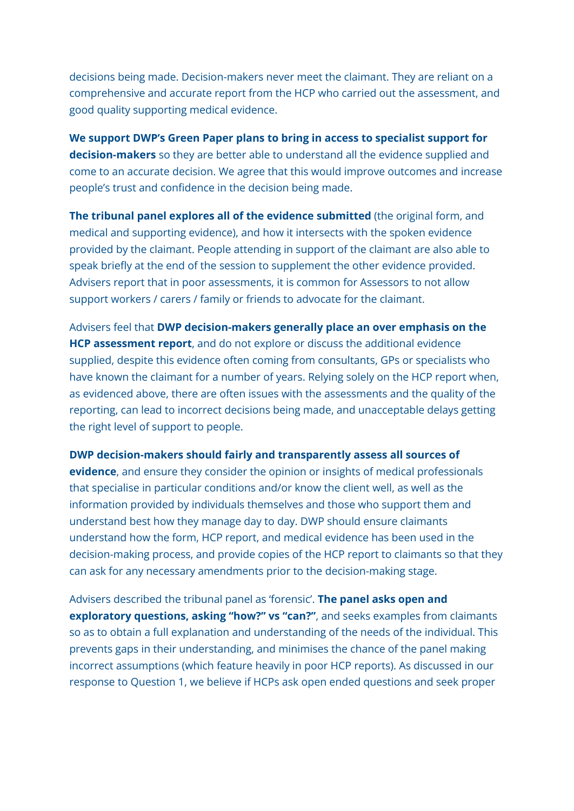decisions being made. Decision-makers never meet the claimant. They are reliant on a comprehensive and accurate report from the HCP who carried out the assessment, and good quality supporting medical evidence.

**We support DWP's Green Paper plans to bring in access to specialist support for decision-makers** so they are better able to understand all the evidence supplied and come to an accurate decision. We agree that this would improve outcomes and increase people's trust and confidence in the decision being made.

**The tribunal panel explores all of the evidence submitted** (the original form, and medical and supporting evidence), and how it intersects with the spoken evidence provided by the claimant. People attending in support of the claimant are also able to speak briefly at the end of the session to supplement the other evidence provided. Advisers report that in poor assessments, it is common for Assessors to not allow support workers / carers / family or friends to advocate for the claimant.

Advisers feel that **DWP decision-makers generally place an over emphasis on the HCP assessment report**, and do not explore or discuss the additional evidence supplied, despite this evidence often coming from consultants, GPs or specialists who have known the claimant for a number of years. Relying solely on the HCP report when, as evidenced above, there are often issues with the assessments and the quality of the reporting, can lead to incorrect decisions being made, and unacceptable delays getting the right level of support to people.

**DWP decision-makers should fairly and transparently assess all sources of evidence**, and ensure they consider the opinion or insights of medical professionals

that specialise in particular conditions and/or know the client well, as well as the information provided by individuals themselves and those who support them and understand best how they manage day to day. DWP should ensure claimants understand how the form, HCP report, and medical evidence has been used in the decision-making process, and provide copies of the HCP report to claimants so that they can ask for any necessary amendments prior to the decision-making stage.

Advisers described the tribunal panel as 'forensic'. **The panel asks open and exploratory questions, asking "how?" vs "can?"**, and seeks examples from claimants so as to obtain a full explanation and understanding of the needs of the individual. This prevents gaps in their understanding, and minimises the chance of the panel making incorrect assumptions (which feature heavily in poor HCP reports). As discussed in our response to Question 1, we believe if HCPs ask open ended questions and seek proper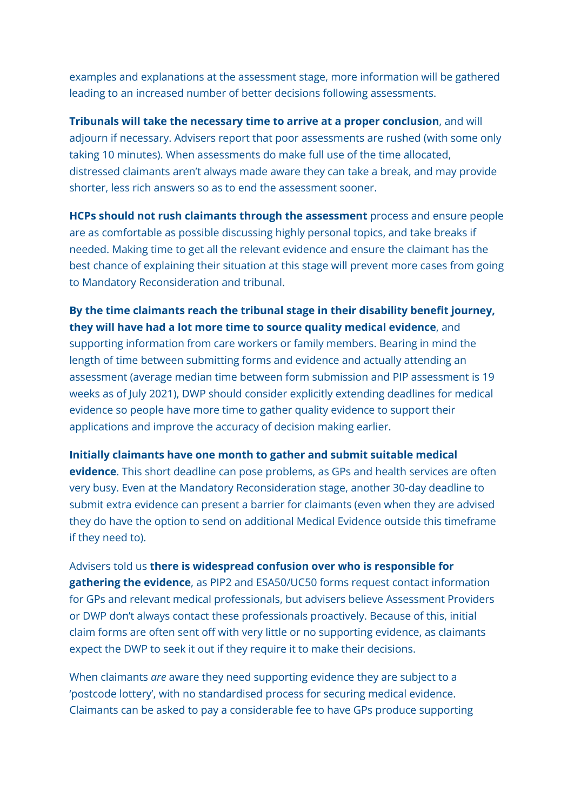examples and explanations at the assessment stage, more information will be gathered leading to an increased number of better decisions following assessments.

**Tribunals will take the necessary time to arrive at a proper conclusion**, and will adjourn if necessary. Advisers report that poor assessments are rushed (with some only taking 10 minutes). When assessments do make full use of the time allocated, distressed claimants aren't always made aware they can take a break, and may provide shorter, less rich answers so as to end the assessment sooner.

**HCPs should not rush claimants through the assessment** process and ensure people are as comfortable as possible discussing highly personal topics, and take breaks if needed. Making time to get all the relevant evidence and ensure the claimant has the best chance of explaining their situation at this stage will prevent more cases from going to Mandatory Reconsideration and tribunal.

# **By the time claimants reach the tribunal stage in their disability benefit journey, they will have had a lot more time to source quality medical evidence**, and

supporting information from care workers or family members. Bearing in mind the length of time between submitting forms and evidence and actually attending an assessment (average median time between form submission and PIP assessment is 19 weeks as of July 2021), DWP should consider explicitly extending deadlines for medical evidence so people have more time to gather quality evidence to support their applications and improve the accuracy of decision making earlier.

#### **Initially claimants have one month to gather and submit suitable medical**

**evidence**. This short deadline can pose problems, as GPs and health services are often very busy. Even at the Mandatory Reconsideration stage, another 30-day deadline to submit extra evidence can present a barrier for claimants (even when they are advised they do have the option to send on additional Medical Evidence outside this timeframe if they need to).

Advisers told us **there is widespread confusion over who is responsible for gathering the evidence**, as PIP2 and ESA50/UC50 forms request contact information for GPs and relevant medical professionals, but advisers believe Assessment Providers or DWP don't always contact these professionals proactively. Because of this, initial claim forms are often sent off with very little or no supporting evidence, as claimants expect the DWP to seek it out if they require it to make their decisions.

When claimants *are* aware they need supporting evidence they are subject to a 'postcode lottery', with no standardised process for securing medical evidence. Claimants can be asked to pay a considerable fee to have GPs produce supporting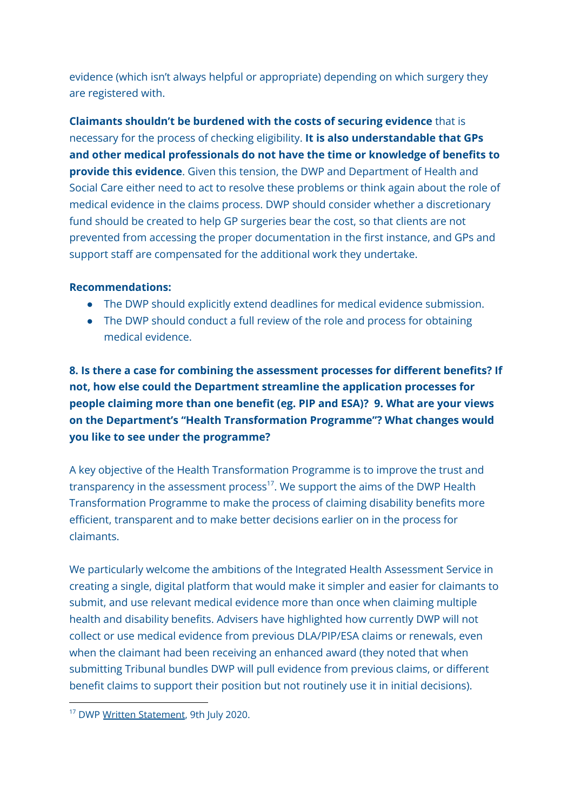evidence (which isn't always helpful or appropriate) depending on which surgery they are registered with.

**Claimants shouldn't be burdened with the costs of securing evidence** that is necessary for the process of checking eligibility. **It is also understandable that GPs and other medical professionals do not have the time or knowledge of benefits to provide this evidence**. Given this tension, the DWP and Department of Health and Social Care either need to act to resolve these problems or think again about the role of medical evidence in the claims process. DWP should consider whether a discretionary fund should be created to help GP surgeries bear the cost, so that clients are not prevented from accessing the proper documentation in the first instance, and GPs and support staff are compensated for the additional work they undertake.

### **Recommendations:**

- The DWP should explicitly extend deadlines for medical evidence submission.
- The DWP should conduct a full review of the role and process for obtaining medical evidence.

**8. Is there a case for combining the assessment processes for different benefits? If not, how else could the Department streamline the application processes for people claiming more than one benefit (eg. PIP and ESA)? 9. What are your views on the Department's "Health Transformation Programme"? What changes would you like to see under the programme?**

A key objective of the Health Transformation Programme is to improve the trust and transparency in the assessment process<sup>17</sup>. We support the aims of the DWP Health Transformation Programme to make the process of claiming disability benefits more efficient, transparent and to make better decisions earlier on in the process for claimants.

We particularly welcome the ambitions of the Integrated Health Assessment Service in creating a single, digital platform that would make it simpler and easier for claimants to submit, and use relevant medical evidence more than once when claiming multiple health and disability benefits. Advisers have highlighted how currently DWP will not collect or use medical evidence from previous DLA/PIP/ESA claims or renewals, even when the claimant had been receiving an enhanced award (they noted that when submitting Tribunal bundles DWP will pull evidence from previous claims, or different benefit claims to support their position but not routinely use it in initial decisions).

<sup>&</sup>lt;sup>17</sup> DWP Written [Statement](https://questions-statements.parliament.uk/written-statements/detail/2020-07-09/HCWS353), 9th July 2020.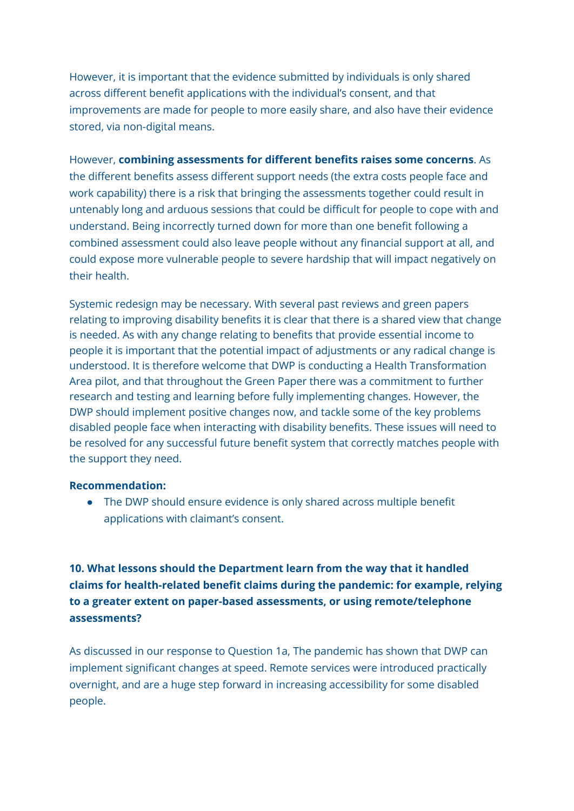However, it is important that the evidence submitted by individuals is only shared across different benefit applications with the individual's consent, and that improvements are made for people to more easily share, and also have their evidence stored, via non-digital means.

However, **combining assessments for different benefits raises some concerns**. As the different benefits assess different support needs (the extra costs people face and work capability) there is a risk that bringing the assessments together could result in untenably long and arduous sessions that could be difficult for people to cope with and understand. Being incorrectly turned down for more than one benefit following a combined assessment could also leave people without any financial support at all, and could expose more vulnerable people to severe hardship that will impact negatively on their health.

Systemic redesign may be necessary. With several past reviews and green papers relating to improving disability benefits it is clear that there is a shared view that change is needed. As with any change relating to benefits that provide essential income to people it is important that the potential impact of adjustments or any radical change is understood. It is therefore welcome that DWP is conducting a Health Transformation Area pilot, and that throughout the Green Paper there was a commitment to further research and testing and learning before fully implementing changes. However, the DWP should implement positive changes now, and tackle some of the key problems disabled people face when interacting with disability benefits. These issues will need to be resolved for any successful future benefit system that correctly matches people with the support they need.

#### **Recommendation:**

• The DWP should ensure evidence is only shared across multiple benefit applications with claimant's consent.

**10. What lessons should the Department learn from the way that it handled claims for health-related benefit claims during the pandemic: for example, relying to a greater extent on paper-based assessments, or using remote/telephone assessments?**

As discussed in our response to Question 1a, The pandemic has shown that DWP can implement significant changes at speed. Remote services were introduced practically overnight, and are a huge step forward in increasing accessibility for some disabled people.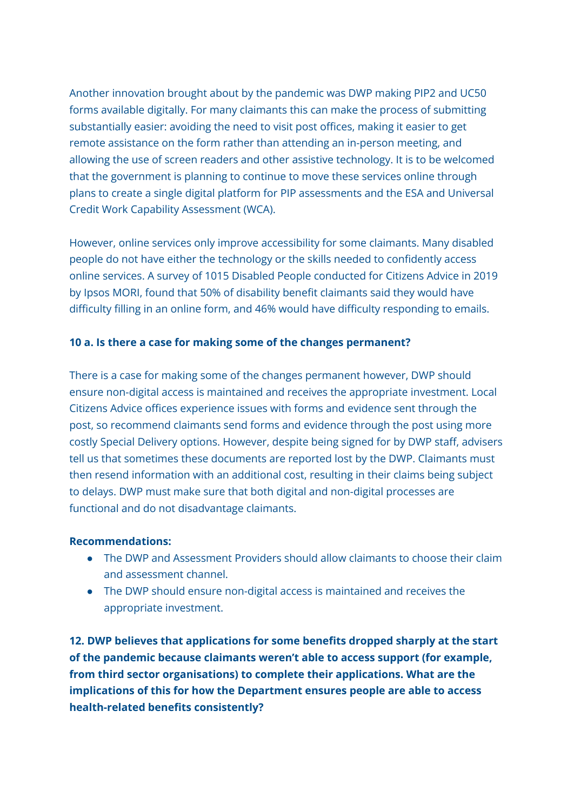Another innovation brought about by the pandemic was DWP making PIP2 and UC50 forms available digitally. For many claimants this can make the process of submitting substantially easier: avoiding the need to visit post offices, making it easier to get remote assistance on the form rather than attending an in-person meeting, and allowing the use of screen readers and other assistive technology. It is to be welcomed that the government is planning to continue to move these services online through plans to create a single digital platform for PIP assessments and the ESA and Universal Credit Work Capability Assessment (WCA).

However, online services only improve accessibility for some claimants. Many disabled people do not have either the technology or the skills needed to confidently access online services. A survey of 1015 Disabled People conducted for Citizens Advice in 2019 by Ipsos MORI, found that 50% of disability benefit claimants said they would have difficulty filling in an online form, and 46% would have difficulty responding to emails.

### **10 a. Is there a case for making some of the changes permanent?**

There is a case for making some of the changes permanent however, DWP should ensure non-digital access is maintained and receives the appropriate investment. Local Citizens Advice offices experience issues with forms and evidence sent through the post, so recommend claimants send forms and evidence through the post using more costly Special Delivery options. However, despite being signed for by DWP staff, advisers tell us that sometimes these documents are reported lost by the DWP. Claimants must then resend information with an additional cost, resulting in their claims being subject to delays. DWP must make sure that both digital and non-digital processes are functional and do not disadvantage claimants.

### **Recommendations:**

- The DWP and Assessment Providers should allow claimants to choose their claim and assessment channel.
- The DWP should ensure non-digital access is maintained and receives the appropriate investment.

**12. DWP believes that applications for some benefits dropped sharply at the start of the pandemic because claimants weren't able to access support (for example, from third sector organisations) to complete their applications. What are the implications of this for how the Department ensures people are able to access health-related benefits consistently?**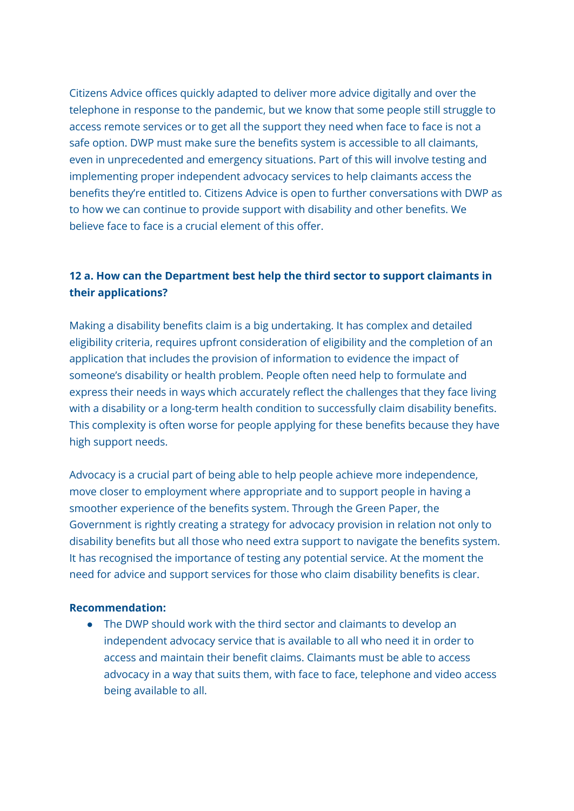Citizens Advice offices quickly adapted to deliver more advice digitally and over the telephone in response to the pandemic, but we know that some people still struggle to access remote services or to get all the support they need when face to face is not a safe option. DWP must make sure the benefits system is accessible to all claimants, even in unprecedented and emergency situations. Part of this will involve testing and implementing proper independent advocacy services to help claimants access the benefits they're entitled to. Citizens Advice is open to further conversations with DWP as to how we can continue to provide support with disability and other benefits. We believe face to face is a crucial element of this offer.

# **12 a. How can the Department best help the third sector to support claimants in their applications?**

Making a disability benefits claim is a big undertaking. It has complex and detailed eligibility criteria, requires upfront consideration of eligibility and the completion of an application that includes the provision of information to evidence the impact of someone's disability or health problem. People often need help to formulate and express their needs in ways which accurately reflect the challenges that they face living with a disability or a long-term health condition to successfully claim disability benefits. This complexity is often worse for people applying for these benefits because they have high support needs.

Advocacy is a crucial part of being able to help people achieve more independence, move closer to employment where appropriate and to support people in having a smoother experience of the benefits system. Through the Green Paper, the Government is rightly creating a strategy for advocacy provision in relation not only to disability benefits but all those who need extra support to navigate the benefits system. It has recognised the importance of testing any potential service. At the moment the need for advice and support services for those who claim disability benefits is clear.

#### **Recommendation:**

● The DWP should work with the third sector and claimants to develop an independent advocacy service that is available to all who need it in order to access and maintain their benefit claims. Claimants must be able to access advocacy in a way that suits them, with face to face, telephone and video access being available to all.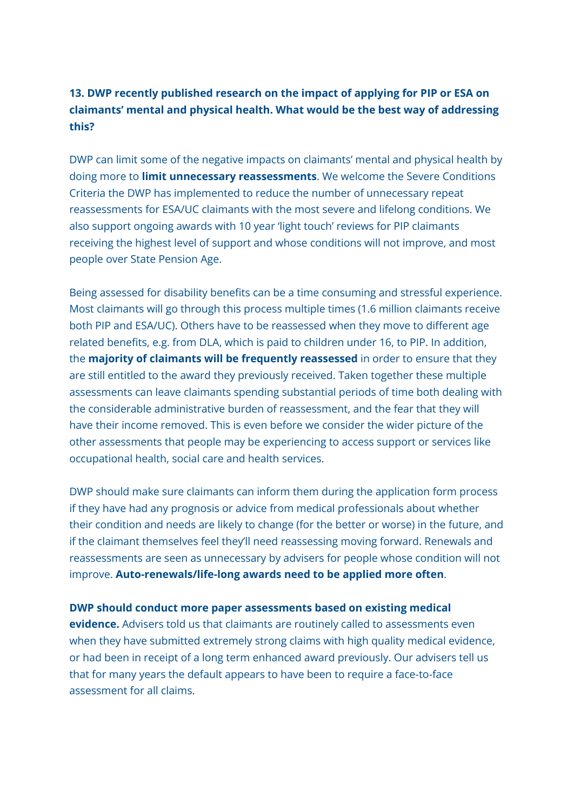# **13. DWP recently published research on the impact of applying for PIP or ESA on claimants' mental and physical health. What would be the best way of addressing this?**

DWP can limit some of the negative impacts on claimants' mental and physical health by doing more to **limit unnecessary reassessments**. We welcome the Severe Conditions Criteria the DWP has implemented to reduce the number of unnecessary repeat reassessments for ESA/UC claimants with the most severe and lifelong conditions. We also support ongoing awards with 10 year 'light touch' reviews for PIP claimants receiving the highest level of support and whose conditions will not improve, and most people over State Pension Age.

Being assessed for disability benefits can be a time consuming and stressful experience. Most claimants will go through this process multiple times (1.6 million claimants receive both PIP and ESA/UC). Others have to be reassessed when they move to different age related benefits, e.g. from DLA, which is paid to children under 16, to PIP. In addition, the **majority of claimants will be frequently reassessed** in order to ensure that they are still entitled to the award they previously received. Taken together these multiple assessments can leave claimants spending substantial periods of time both dealing with the considerable administrative burden of reassessment, and the fear that they will have their income removed. This is even before we consider the wider picture of the other assessments that people may be experiencing to access support or services like occupational health, social care and health services.

DWP should make sure claimants can inform them during the application form process if they have had any prognosis or advice from medical professionals about whether their condition and needs are likely to change (for the better or worse) in the future, and if the claimant themselves feel they'll need reassessing moving forward. Renewals and reassessments are seen as unnecessary by advisers for people whose condition will not improve. **Auto-renewals/life-long awards need to be applied more often**.

#### **DWP should conduct more paper assessments based on existing medical**

**evidence.** Advisers told us that claimants are routinely called to assessments even when they have submitted extremely strong claims with high quality medical evidence, or had been in receipt of a long term enhanced award previously. Our advisers tell us that for many years the default appears to have been to require a face-to-face assessment for all claims.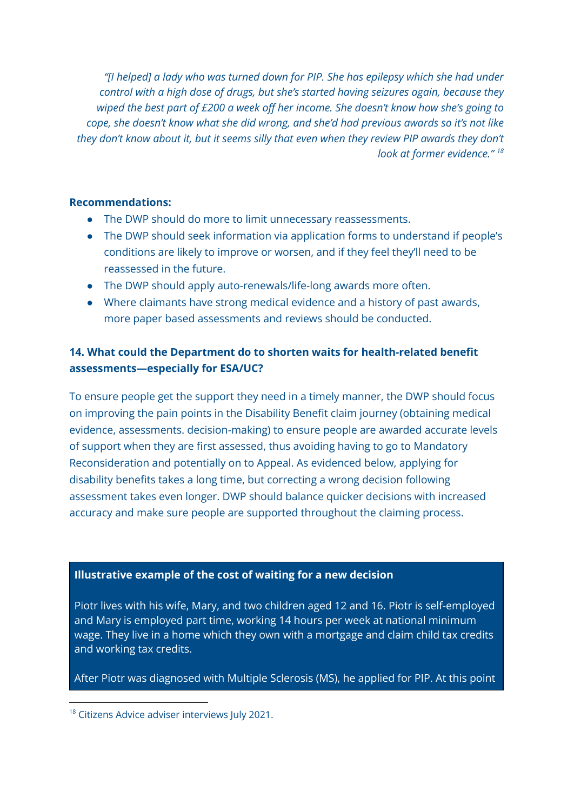*"[I helped] a lady who was turned down for PIP. She has epilepsy which she had under control with a high dose of drugs, but she's started having seizures again, because they wiped the best part of £200 a week off her income. She doesn't know how she's going to cope, she doesn't know what she did wrong, and she'd had previous awards so it's not like they don't know about it, but it seems silly that even when they review PIP awards they don't look at former evidence." 18*

#### **Recommendations:**

- The DWP should do more to limit unnecessary reassessments.
- The DWP should seek information via application forms to understand if people's conditions are likely to improve or worsen, and if they feel they'll need to be reassessed in the future.
- The DWP should apply auto-renewals/life-long awards more often.
- Where claimants have strong medical evidence and a history of past awards, more paper based assessments and reviews should be conducted.

# **14. What could the Department do to shorten waits for health-related benefit assessments—especially for ESA/UC?**

To ensure people get the support they need in a timely manner, the DWP should focus on improving the pain points in the Disability Benefit claim journey (obtaining medical evidence, assessments. decision-making) to ensure people are awarded accurate levels of support when they are first assessed, thus avoiding having to go to Mandatory Reconsideration and potentially on to Appeal. As evidenced below, applying for disability benefits takes a long time, but correcting a wrong decision following assessment takes even longer. DWP should balance quicker decisions with increased accuracy and make sure people are supported throughout the claiming process.

## **Illustrative example of the cost of waiting for a new decision**

Piotr lives with his wife, Mary, and two children aged 12 and 16. Piotr is self-employed and Mary is employed part time, working 14 hours per week at national minimum wage. They live in a home which they own with a mortgage and claim child tax credits and working tax credits.

After Piotr was diagnosed with Multiple Sclerosis (MS), he applied for PIP. At this point

<sup>&</sup>lt;sup>18</sup> Citizens Advice adviser interviews July 2021.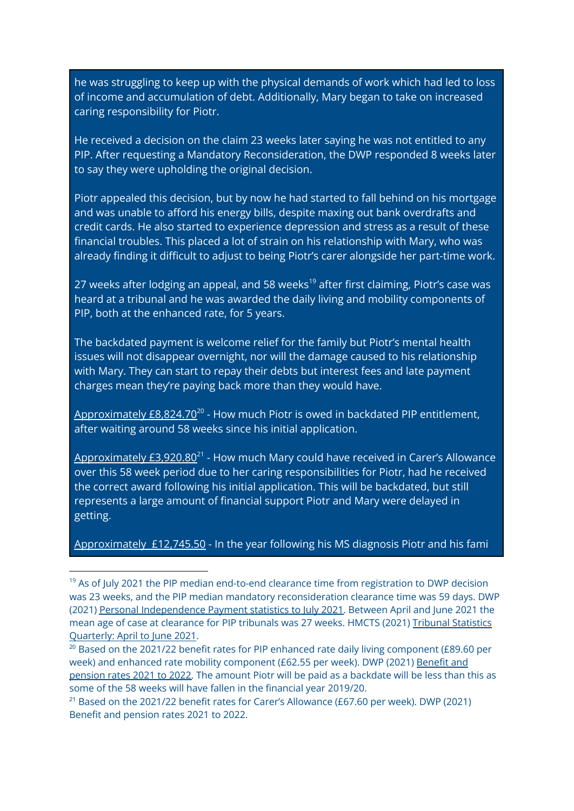he was struggling to keep up with the physical demands of work which had led to loss of income and accumulation of debt. Additionally, Mary began to take on increased caring responsibility for Piotr.

He received a decision on the claim 23 weeks later saying he was not entitled to any PIP. After requesting a Mandatory Reconsideration, the DWP responded 8 weeks later to say they were upholding the original decision.

Piotr appealed this decision, but by now he had started to fall behind on his mortgage and was unable to afford his energy bills, despite maxing out bank overdrafts and credit cards. He also started to experience depression and stress as a result of these financial troubles. This placed a lot of strain on his relationship with Mary, who was already finding it difficult to adjust to being Piotr's carer alongside her part-time work.

27 weeks after lodging an appeal, and 58 weeks<sup>19</sup> after first claiming, Piotr's case was heard at a tribunal and he was awarded the daily living and mobility components of PIP, both at the enhanced rate, for 5 years.

The backdated payment is welcome relief for the family but Piotr's mental health issues will not disappear overnight, nor will the damage caused to his relationship with Mary. They can start to repay their debts but interest fees and late payment charges mean they're paying back more than they would have.

Approximately £8,824.70<sup>20</sup> - How much Piotr is owed in backdated PIP entitlement, after waiting around 58 weeks since his initial application.

<u>Approximately £3,920.80<sup>21</sup> - How much Mary could have received in Carer's Allowance</u> over this 58 week period due to her caring responsibilities for Piotr, had he received the correct award following his initial application. This will be backdated, but still represents a large amount of financial support Piotr and Mary were delayed in getting.

Approximately £12,745.50 - In the year following his MS diagnosis Piotr and his fami

 $19$  As of July 2021 the PIP median end-to-end clearance time from registration to DWP decision was 23 weeks, and the PIP median mandatory reconsideration clearance time was 59 days. DWP (2021) Personal [Independence](https://www.gov.uk/government/statistics/personal-independence-payment-statistics-to-july-2021) Payment statistics to July 2021. Between April and June 2021 the mean age of case at clearance for PIP tribunals was 27 weeks. HMCTS (2021) Tribunal [Statistics](https://www.gov.uk/government/statistics/tribunal-statistics-quarterly-april-to-june-2021) [Quarterly:](https://www.gov.uk/government/statistics/tribunal-statistics-quarterly-april-to-june-2021) April to June 2021.

 $20$  Based on the 2021/22 benefit rates for PIP enhanced rate daily living component (£89.60 per week) and enhanced rate mobility component (£62.55 per week). DWP (2021) [Benefit](https://www.gov.uk/government/publications/benefit-and-pension-rates-2021-to-2022/benefit-and-pension-rates-2021-to-2022#personal-independence-payment) and [pension](https://www.gov.uk/government/publications/benefit-and-pension-rates-2021-to-2022/benefit-and-pension-rates-2021-to-2022#personal-independence-payment) rates 2021 to 2022. The amount Piotr will be paid as a backdate will be less than this as some of the 58 weeks will have fallen in the financial year 2019/20.

<sup>&</sup>lt;sup>21</sup> Based on the 2021/22 benefit rates for Carer's Allowance (£67.60 per week). DWP (2021) Benefit and [pension](https://www.gov.uk/government/publications/benefit-and-pension-rates-2021-to-2022/benefit-and-pension-rates-2021-to-2022#personal-independence-payment) rates 2021 to 2022.